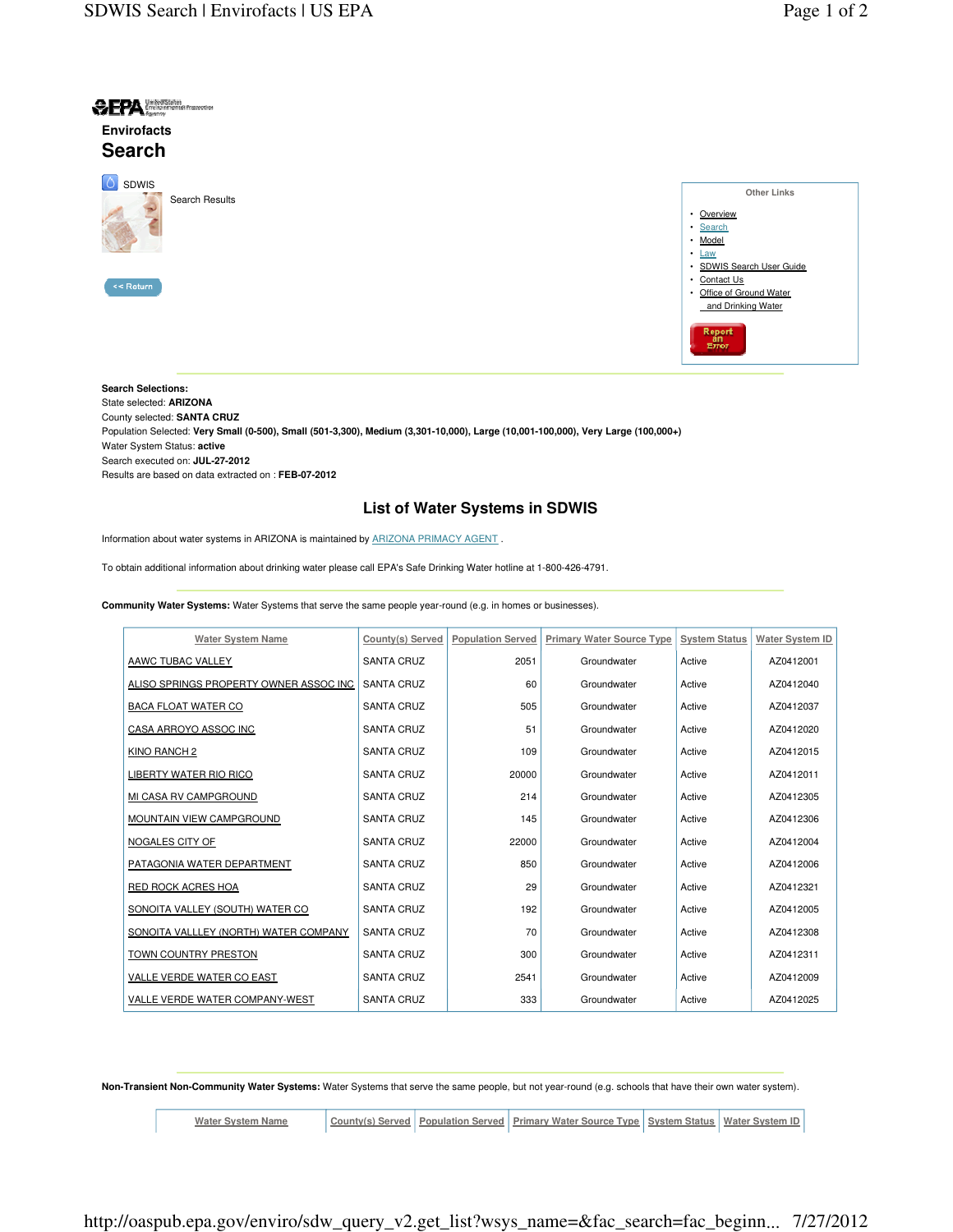

| Other Links               |
|---------------------------|
| • Overview                |
| • Search                  |
| • Model                   |
| $\cdot$ Law               |
| · SDWIS Search User Guide |
| • Contact Us              |
| • Office of Ground Water  |
| and Drinking Water        |
| Report<br>an<br>Error     |
|                           |

**Search Selections:**  State selected: **ARIZONA**  County selected: **SANTA CRUZ**  Population Selected: **Very Small (0-500), Small (501-3,300), Medium (3,301-10,000), Large (10,001-100,000), Very Large (100,000+)**  Water System Status: **active**  Search executed on: **JUL-27-2012** Results are based on data extracted on : **FEB-07-2012**

## **List of Water Systems in SDWIS**

Information about water systems in ARIZONA is maintained by ARIZONA PRIMACY AGENT .

To obtain additional information about drinking water please call EPA's Safe Drinking Water hotline at 1-800-426-4791.

**Community Water Systems:** Water Systems that serve the same people year-round (e.g. in homes or businesses).

| <b>Water System Name</b>               | County(s) Served  | <b>Population Served</b> | <b>Primary Water Source Type</b> | <b>System Status</b> | <b>Water System ID</b> |
|----------------------------------------|-------------------|--------------------------|----------------------------------|----------------------|------------------------|
| AAWC TUBAC VALLEY                      | <b>SANTA CRUZ</b> | 2051                     | Groundwater                      | Active               | AZ0412001              |
| ALISO SPRINGS PROPERTY OWNER ASSOC INC | <b>SANTA CRUZ</b> | 60                       | Groundwater                      | Active               | AZ0412040              |
| <b>BACA FLOAT WATER CO</b>             | <b>SANTA CRUZ</b> | 505                      | Groundwater                      | Active               | AZ0412037              |
| CASA ARROYO ASSOC INC                  | <b>SANTA CRUZ</b> | 51                       | Groundwater                      | Active               | AZ0412020              |
| KINO RANCH 2                           | <b>SANTA CRUZ</b> | 109                      | Groundwater                      | Active               | AZ0412015              |
| <b>LIBERTY WATER RIO RICO</b>          | <b>SANTA CRUZ</b> | 20000                    | Groundwater                      | Active               | AZ0412011              |
| MI CASA RV CAMPGROUND                  | <b>SANTA CRUZ</b> | 214                      | Groundwater                      | Active               | AZ0412305              |
| MOUNTAIN VIEW CAMPGROUND               | <b>SANTA CRUZ</b> | 145                      | Groundwater                      | Active               | AZ0412306              |
| NOGALES CITY OF                        | <b>SANTA CRUZ</b> | 22000                    | Groundwater                      | Active               | AZ0412004              |
| PATAGONIA WATER DEPARTMENT             | <b>SANTA CRUZ</b> | 850                      | Groundwater                      | Active               | AZ0412006              |
| <b>RED ROCK ACRES HOA</b>              | <b>SANTA CRUZ</b> | 29                       | Groundwater                      | Active               | AZ0412321              |
| SONOITA VALLEY (SOUTH) WATER CO        | <b>SANTA CRUZ</b> | 192                      | Groundwater                      | Active               | AZ0412005              |
| SONOITA VALLLEY (NORTH) WATER COMPANY  | <b>SANTA CRUZ</b> | 70                       | Groundwater                      | Active               | AZ0412308              |
| <b>TOWN COUNTRY PRESTON</b>            | <b>SANTA CRUZ</b> | 300                      | Groundwater                      | Active               | AZ0412311              |
| VALLE VERDE WATER CO EAST              | <b>SANTA CRUZ</b> | 2541                     | Groundwater                      | Active               | AZ0412009              |
| VALLE VERDE WATER COMPANY-WEST         | <b>SANTA CRUZ</b> | 333                      | Groundwater                      | Active               | AZ0412025              |

**Non-Transient Non-Community Water Systems:** Water Systems that serve the same people, but not year-round (e.g. schools that have their own water system).

**Water System Name County(s) Served Population Served Primary Water Source Type System Status Water System ID**